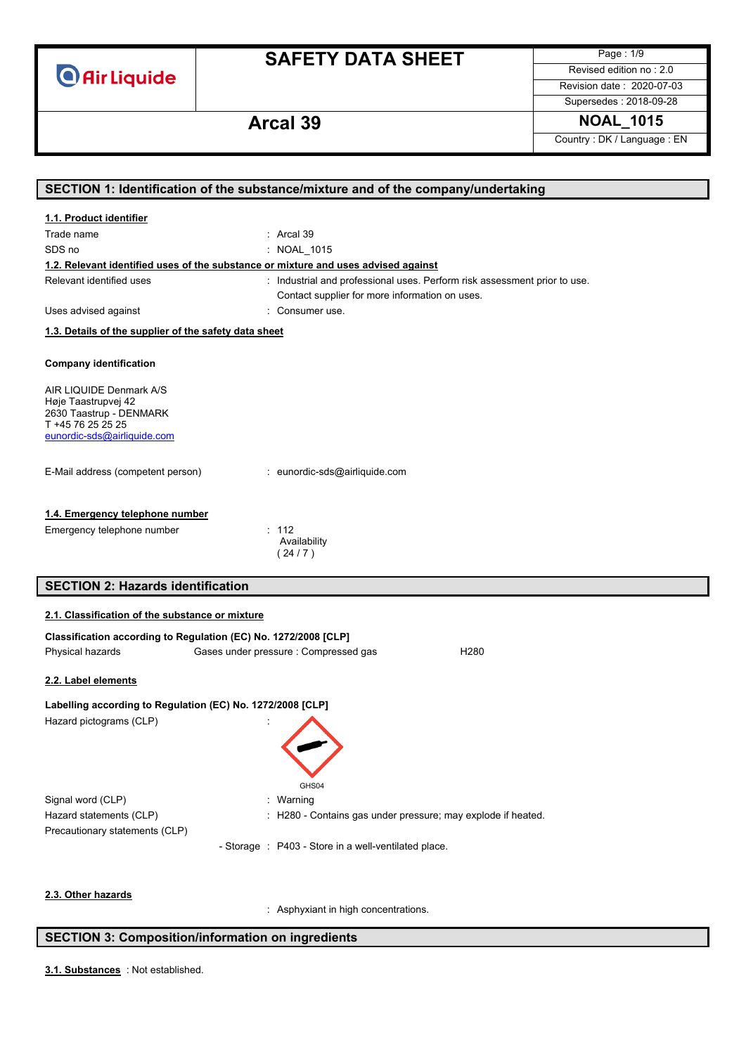**O** Air Liquide

# **SAFETY DATA SHEET**

Page : 1/9 Revised edition no : 2.0

Revision date : 2020-07-03 Supersedes : 2018-09-28

# **Arcal 39 NOAL\_1015**

Country : DK / Language : EN

|                                                                 | SECTION 1: Identification of the substance/mixture and of the company/undertaking  |
|-----------------------------------------------------------------|------------------------------------------------------------------------------------|
| 1.1. Product identifier                                         |                                                                                    |
| Trade name                                                      | : Arcal 39                                                                         |
| SDS no                                                          | : NOAL 1015                                                                        |
|                                                                 | 1.2. Relevant identified uses of the substance or mixture and uses advised against |
| Relevant identified uses                                        | : Industrial and professional uses. Perform risk assessment prior to use.          |
|                                                                 | Contact supplier for more information on uses.                                     |
| Uses advised against                                            | : Consumer use.                                                                    |
| 1.3. Details of the supplier of the safety data sheet           |                                                                                    |
|                                                                 |                                                                                    |
| <b>Company identification</b>                                   |                                                                                    |
| AIR LIQUIDE Denmark A/S                                         |                                                                                    |
| Høje Taastrupvej 42                                             |                                                                                    |
| 2630 Taastrup - DENMARK<br>T +45 76 25 25 25                    |                                                                                    |
| eunordic-sds@airliquide.com                                     |                                                                                    |
|                                                                 |                                                                                    |
| E-Mail address (competent person)                               | : eunordic-sds@airliquide.com                                                      |
|                                                                 |                                                                                    |
|                                                                 |                                                                                    |
| 1.4. Emergency telephone number                                 |                                                                                    |
| Emergency telephone number                                      | : 112<br>Availability                                                              |
|                                                                 | (24/7)                                                                             |
|                                                                 |                                                                                    |
| <b>SECTION 2: Hazards identification</b>                        |                                                                                    |
| 2.1. Classification of the substance or mixture                 |                                                                                    |
| Classification according to Regulation (EC) No. 1272/2008 [CLP] |                                                                                    |
| Physical hazards                                                | Gases under pressure : Compressed gas<br>H <sub>280</sub>                          |
|                                                                 |                                                                                    |
| 2.2. Label elements                                             |                                                                                    |
| Labelling according to Regulation (EC) No. 1272/2008 [CLP]      |                                                                                    |
| Hazard pictograms (CLP)                                         |                                                                                    |
|                                                                 |                                                                                    |
|                                                                 |                                                                                    |
|                                                                 |                                                                                    |
|                                                                 | GHS04                                                                              |
| Signal word (CLP)                                               | Warning                                                                            |
| Hazard statements (CLP)                                         | H280 - Contains gas under pressure; may explode if heated.                         |
| Precautionary statements (CLP)                                  |                                                                                    |
|                                                                 | - Storage : P403 - Store in a well-ventilated place.                               |
|                                                                 |                                                                                    |
|                                                                 |                                                                                    |
| 2.3. Other hazards                                              |                                                                                    |
|                                                                 | : Asphyxiant in high concentrations.                                               |

### **SECTION 3: Composition/information on ingredients**

: Not established. **3.1. Substances**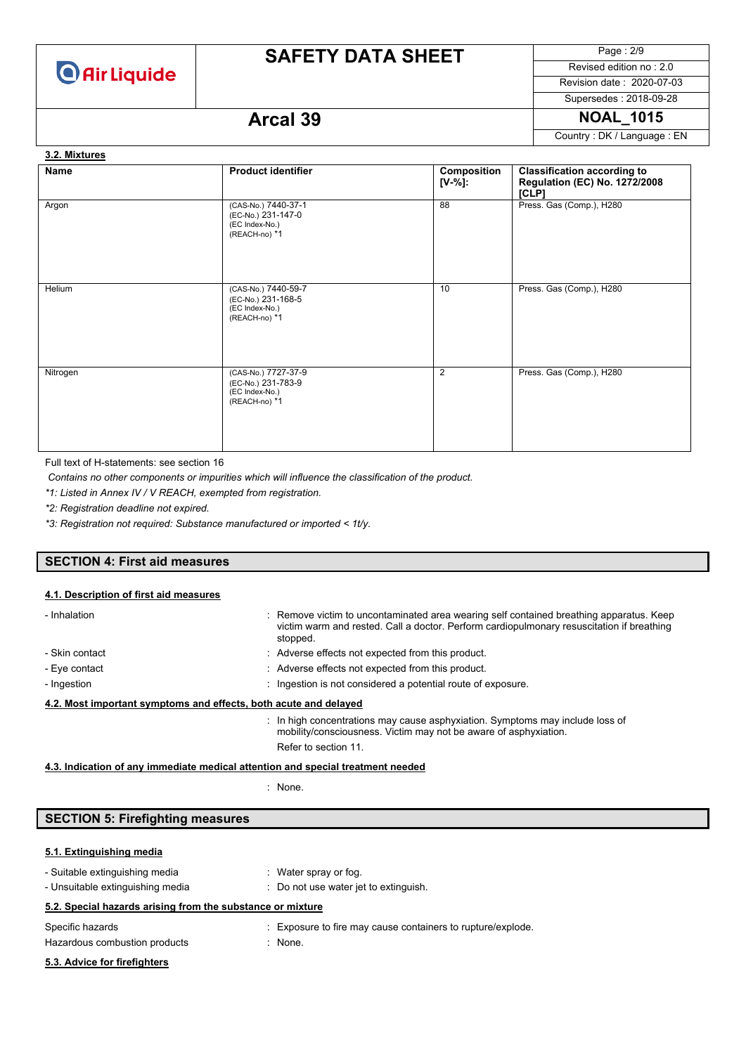

# **SAFETY DATA SHEET**

Page : 2/9 Revised edition no : 2.0

Revision date : 2020-07-03 Supersedes : 2018-09-28

# **Arcal 39 NOAL\_1015**

Country : DK / Language : EN

### **3.2. Mixtures**

| <b>Name</b> | <b>Product identifier</b>                                                    | Composition<br>$[V-%]:$ | <b>Classification according to</b><br><b>Regulation (EC) No. 1272/2008</b><br>[CLP] |
|-------------|------------------------------------------------------------------------------|-------------------------|-------------------------------------------------------------------------------------|
| Argon       | (CAS-No.) 7440-37-1<br>(EC-No.) 231-147-0<br>(EC Index-No.)<br>(REACH-no) *1 | 88                      | Press. Gas (Comp.), H280                                                            |
| Helium      | (CAS-No.) 7440-59-7<br>(EC-No.) 231-168-5<br>(EC Index-No.)<br>(REACH-no) *1 | 10                      | Press. Gas (Comp.), H280                                                            |
| Nitrogen    | (CAS-No.) 7727-37-9<br>(EC-No.) 231-783-9<br>(EC Index-No.)<br>(REACH-no) *1 | $\overline{2}$          | Press. Gas (Comp.), H280                                                            |

Full text of H-statements: see section 16

*Contains no other components or impurities which will influence the classification of the product.*

*\*1: Listed in Annex IV / V REACH, exempted from registration.*

*\*2: Registration deadline not expired.*

*\*3: Registration not required: Substance manufactured or imported < 1t/y.*

### **SECTION 4: First aid measures**

#### **4.1. Description of first aid measures**

| - Inhalation                                                     | : Remove victim to uncontaminated area wearing self contained breathing apparatus. Keep<br>victim warm and rested. Call a doctor. Perform cardiopulmonary resuscitation if breathing<br>stopped. |  |  |
|------------------------------------------------------------------|--------------------------------------------------------------------------------------------------------------------------------------------------------------------------------------------------|--|--|
| - Skin contact                                                   | : Adverse effects not expected from this product.                                                                                                                                                |  |  |
| - Eye contact                                                    | : Adverse effects not expected from this product.                                                                                                                                                |  |  |
| - Ingestion                                                      | : Ingestion is not considered a potential route of exposure.                                                                                                                                     |  |  |
| 4.2. Most important symptoms and effects, both acute and delayed |                                                                                                                                                                                                  |  |  |
|                                                                  | $\therefore$ In high concentrations may cause asphyxiation. Symptoms may include loss of<br>mobility/consciousness. Victim may not be aware of asphyxiation.<br>Refer to section 11.             |  |  |

**4.3. Indication of any immediate medical attention and special treatment needed**

: None.

## **SECTION 5: Firefighting measures**

#### **5.1. Extinguishing media**

| - Suitable extinguishing media                             | : Water spray or fog.                                       |
|------------------------------------------------------------|-------------------------------------------------------------|
| - Unsuitable extinguishing media                           | : Do not use water jet to extinguish.                       |
| 5.2. Special hazards arising from the substance or mixture |                                                             |
| Specific hazards                                           | : Exposure to fire may cause containers to rupture/explode. |
| Hazardous combustion products                              | : None.                                                     |
| 5.3. Advice for firefighters                               |                                                             |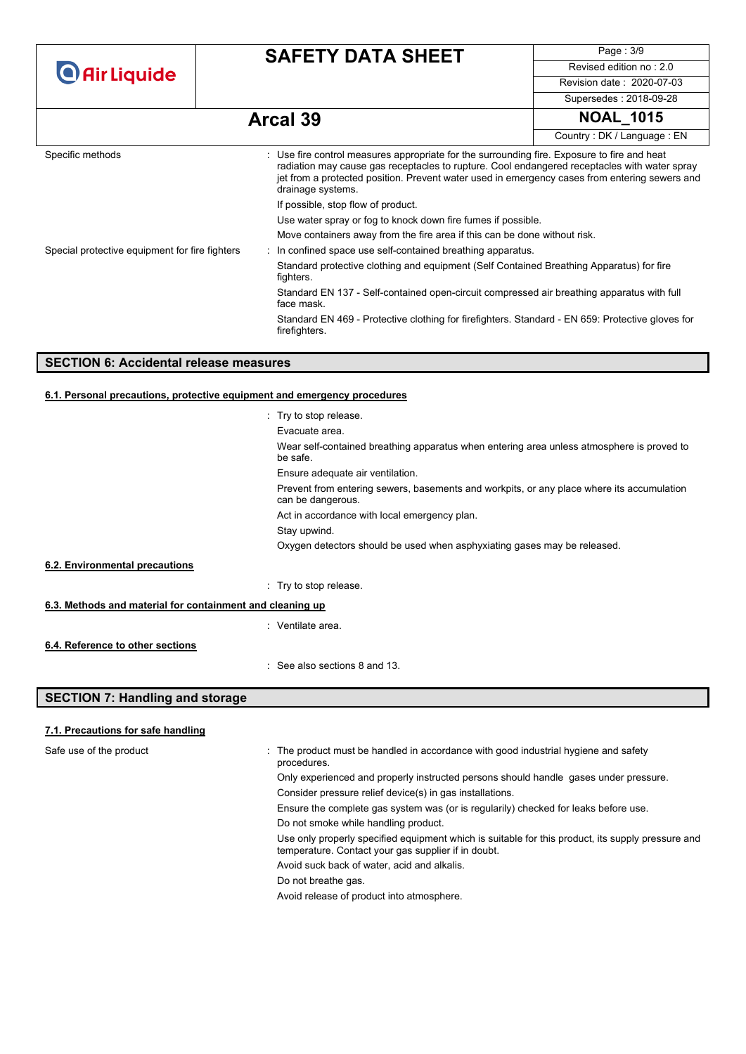| <b>O</b> Air Liquide                           | <b>SAFETY DATA SHEET</b>                                                                                          | Page: 3/9                                                                                                                                                                                                                                                                                    |  |  |
|------------------------------------------------|-------------------------------------------------------------------------------------------------------------------|----------------------------------------------------------------------------------------------------------------------------------------------------------------------------------------------------------------------------------------------------------------------------------------------|--|--|
|                                                |                                                                                                                   | Revised edition no: 2.0                                                                                                                                                                                                                                                                      |  |  |
|                                                |                                                                                                                   | Revision date: 2020-07-03                                                                                                                                                                                                                                                                    |  |  |
|                                                |                                                                                                                   | Supersedes: 2018-09-28                                                                                                                                                                                                                                                                       |  |  |
|                                                | <b>Arcal 39</b>                                                                                                   | <b>NOAL 1015</b>                                                                                                                                                                                                                                                                             |  |  |
|                                                |                                                                                                                   | Country: DK / Language: EN                                                                                                                                                                                                                                                                   |  |  |
| Specific methods                               | drainage systems.                                                                                                 | : Use fire control measures appropriate for the surrounding fire. Exposure to fire and heat<br>radiation may cause gas receptacles to rupture. Cool endangered receptacles with water spray<br>jet from a protected position. Prevent water used in emergency cases from entering sewers and |  |  |
|                                                | If possible, stop flow of product.                                                                                |                                                                                                                                                                                                                                                                                              |  |  |
|                                                |                                                                                                                   | Use water spray or fog to knock down fire fumes if possible.                                                                                                                                                                                                                                 |  |  |
|                                                |                                                                                                                   | Move containers away from the fire area if this can be done without risk.                                                                                                                                                                                                                    |  |  |
| Special protective equipment for fire fighters | : In confined space use self-contained breathing apparatus.                                                       |                                                                                                                                                                                                                                                                                              |  |  |
|                                                | fighters.                                                                                                         | Standard protective clothing and equipment (Self Contained Breathing Apparatus) for fire                                                                                                                                                                                                     |  |  |
|                                                | Standard EN 137 - Self-contained open-circuit compressed air breathing apparatus with full<br>face mask.          |                                                                                                                                                                                                                                                                                              |  |  |
|                                                | Standard EN 469 - Protective clothing for firefighters. Standard - EN 659: Protective gloves for<br>firefighters. |                                                                                                                                                                                                                                                                                              |  |  |

### **SECTION 6: Accidental release measures**

### **6.1. Personal precautions, protective equipment and emergency procedures**

|                                                           | : Try to stop release.                                                                                         |  |
|-----------------------------------------------------------|----------------------------------------------------------------------------------------------------------------|--|
|                                                           | Evacuate area.                                                                                                 |  |
|                                                           | Wear self-contained breathing apparatus when entering area unless atmosphere is proved to<br>be safe.          |  |
|                                                           | Ensure adequate air ventilation.                                                                               |  |
|                                                           | Prevent from entering sewers, basements and workpits, or any place where its accumulation<br>can be dangerous. |  |
|                                                           | Act in accordance with local emergency plan.                                                                   |  |
|                                                           | Stay upwind.                                                                                                   |  |
|                                                           | Oxygen detectors should be used when asphyxiating gases may be released.                                       |  |
| 6.2. Environmental precautions                            |                                                                                                                |  |
|                                                           | : Try to stop release.                                                                                         |  |
| 6.3. Methods and material for containment and cleaning up |                                                                                                                |  |
|                                                           | : Ventilate area.                                                                                              |  |
| 6.4. Reference to other sections                          |                                                                                                                |  |
|                                                           | $\therefore$ See also sections 8 and 13.                                                                       |  |
| <b>SECTION 7: Handling and storage</b>                    |                                                                                                                |  |

# **7.1. Precautions for safe handling**

| Safe use of the product | The product must be handled in accordance with good industrial hygiene and safety<br>procedures.                                                         |
|-------------------------|----------------------------------------------------------------------------------------------------------------------------------------------------------|
|                         | Only experienced and properly instructed persons should handle gases under pressure.                                                                     |
|                         | Consider pressure relief device(s) in gas installations.                                                                                                 |
|                         | Ensure the complete gas system was (or is regularily) checked for leaks before use.                                                                      |
|                         | Do not smoke while handling product.                                                                                                                     |
|                         | Use only properly specified equipment which is suitable for this product, its supply pressure and<br>temperature. Contact your gas supplier if in doubt. |
|                         | Avoid suck back of water, acid and alkalis.                                                                                                              |
|                         | Do not breathe gas.                                                                                                                                      |
|                         | Avoid release of product into atmosphere.                                                                                                                |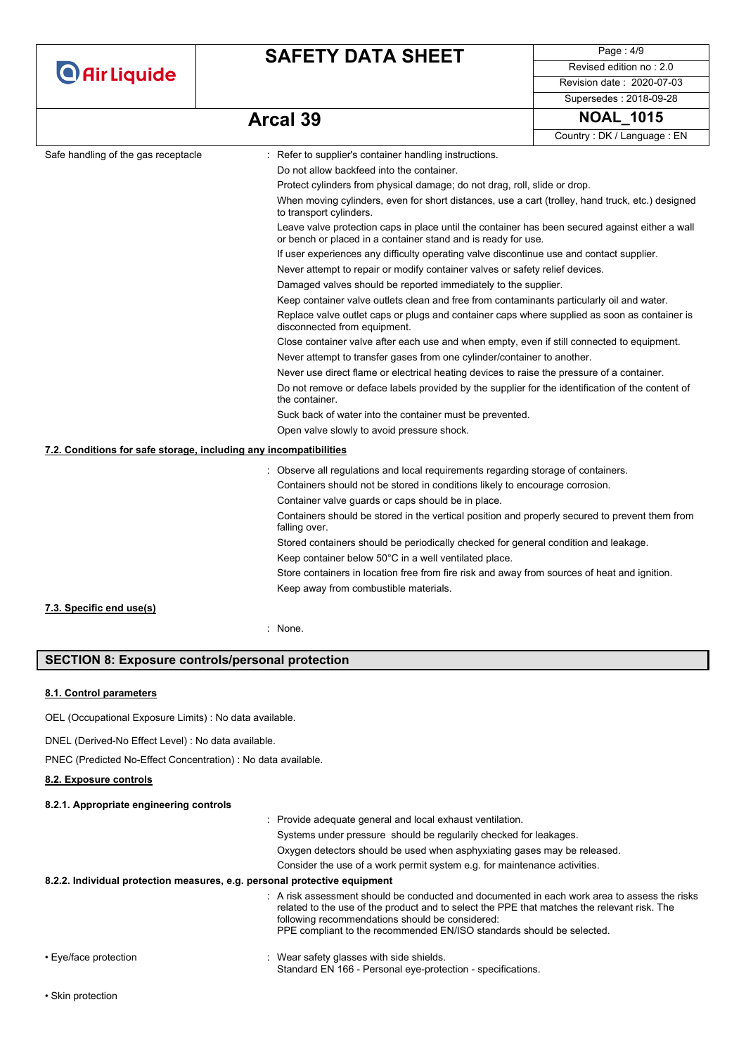|                                                                   | <b>SAFETY DATA SHEET</b>                                                                                                    | Page: 4/9                                                                                                                                                        |  |
|-------------------------------------------------------------------|-----------------------------------------------------------------------------------------------------------------------------|------------------------------------------------------------------------------------------------------------------------------------------------------------------|--|
| <b>O</b> Air Liquide                                              |                                                                                                                             | Revised edition no: 2.0                                                                                                                                          |  |
|                                                                   |                                                                                                                             | Revision date: 2020-07-03                                                                                                                                        |  |
|                                                                   |                                                                                                                             | Supersedes: 2018-09-28                                                                                                                                           |  |
|                                                                   | <b>Arcal 39</b>                                                                                                             | <b>NOAL 1015</b>                                                                                                                                                 |  |
|                                                                   |                                                                                                                             | Country: DK / Language: EN                                                                                                                                       |  |
| Safe handling of the gas receptacle                               | : Refer to supplier's container handling instructions.                                                                      |                                                                                                                                                                  |  |
|                                                                   | Do not allow backfeed into the container.                                                                                   |                                                                                                                                                                  |  |
|                                                                   |                                                                                                                             | Protect cylinders from physical damage; do not drag, roll, slide or drop.                                                                                        |  |
|                                                                   | When moving cylinders, even for short distances, use a cart (trolley, hand truck, etc.) designed<br>to transport cylinders. |                                                                                                                                                                  |  |
|                                                                   |                                                                                                                             | Leave valve protection caps in place until the container has been secured against either a wall<br>or bench or placed in a container stand and is ready for use. |  |
|                                                                   |                                                                                                                             | If user experiences any difficulty operating valve discontinue use and contact supplier.                                                                         |  |
|                                                                   |                                                                                                                             | Never attempt to repair or modify container valves or safety relief devices.                                                                                     |  |
|                                                                   |                                                                                                                             | Damaged valves should be reported immediately to the supplier.                                                                                                   |  |
|                                                                   | Keep container valve outlets clean and free from contaminants particularly oil and water.                                   |                                                                                                                                                                  |  |
|                                                                   | disconnected from equipment.                                                                                                | Replace valve outlet caps or plugs and container caps where supplied as soon as container is                                                                     |  |
|                                                                   | Close container valve after each use and when empty, even if still connected to equipment.                                  |                                                                                                                                                                  |  |
|                                                                   | Never attempt to transfer gases from one cylinder/container to another.                                                     |                                                                                                                                                                  |  |
|                                                                   | Never use direct flame or electrical heating devices to raise the pressure of a container.                                  |                                                                                                                                                                  |  |
|                                                                   | Do not remove or deface labels provided by the supplier for the identification of the content of<br>the container.          |                                                                                                                                                                  |  |
|                                                                   | Suck back of water into the container must be prevented.                                                                    |                                                                                                                                                                  |  |
|                                                                   | Open valve slowly to avoid pressure shock.                                                                                  |                                                                                                                                                                  |  |
| 7.2. Conditions for safe storage, including any incompatibilities |                                                                                                                             |                                                                                                                                                                  |  |
|                                                                   | : Observe all regulations and local requirements regarding storage of containers.                                           |                                                                                                                                                                  |  |
|                                                                   | Containers should not be stored in conditions likely to encourage corrosion.                                                |                                                                                                                                                                  |  |
|                                                                   | Container valve guards or caps should be in place.                                                                          |                                                                                                                                                                  |  |
|                                                                   | Containers should be stored in the vertical position and properly secured to prevent them from<br>falling over.             |                                                                                                                                                                  |  |
|                                                                   | Stored containers should be periodically checked for general condition and leakage.                                         |                                                                                                                                                                  |  |
|                                                                   | Keep container below 50°C in a well ventilated place.                                                                       |                                                                                                                                                                  |  |
|                                                                   | Store containers in location free from fire risk and away from sources of heat and ignition.                                |                                                                                                                                                                  |  |
|                                                                   | Keep away from combustible materials.                                                                                       |                                                                                                                                                                  |  |
| 7.3. Specific end use(s)                                          |                                                                                                                             |                                                                                                                                                                  |  |
|                                                                   | : None.                                                                                                                     |                                                                                                                                                                  |  |
|                                                                   |                                                                                                                             |                                                                                                                                                                  |  |

### **SECTION 8: Exposure controls/personal protection**

### **8.1. Control parameters**

OEL (Occupational Exposure Limits) : No data available.

DNEL (Derived-No Effect Level) : No data available.

PNEC (Predicted No-Effect Concentration) : No data available.

#### **8.2. Exposure controls**

#### **8.2.1. Appropriate engineering controls**

|                                                                           | : Provide adequate general and local exhaust ventilation.                                                                                                                                                                                                                                                             |
|---------------------------------------------------------------------------|-----------------------------------------------------------------------------------------------------------------------------------------------------------------------------------------------------------------------------------------------------------------------------------------------------------------------|
|                                                                           | Systems under pressure should be regularily checked for leakages.                                                                                                                                                                                                                                                     |
|                                                                           | Oxygen detectors should be used when asphyxiating gases may be released.                                                                                                                                                                                                                                              |
|                                                                           | Consider the use of a work permit system e.g. for maintenance activities.                                                                                                                                                                                                                                             |
| 8.2.2. Individual protection measures, e.g. personal protective equipment |                                                                                                                                                                                                                                                                                                                       |
|                                                                           | A risk assessment should be conducted and documented in each work area to assess the risks<br>related to the use of the product and to select the PPE that matches the relevant risk. The<br>following recommendations should be considered:<br>PPE compliant to the recommended EN/ISO standards should be selected. |
| • Eye/face protection                                                     | Wear safety glasses with side shields.                                                                                                                                                                                                                                                                                |

Standard EN 166 - Personal eye-protection - specifications.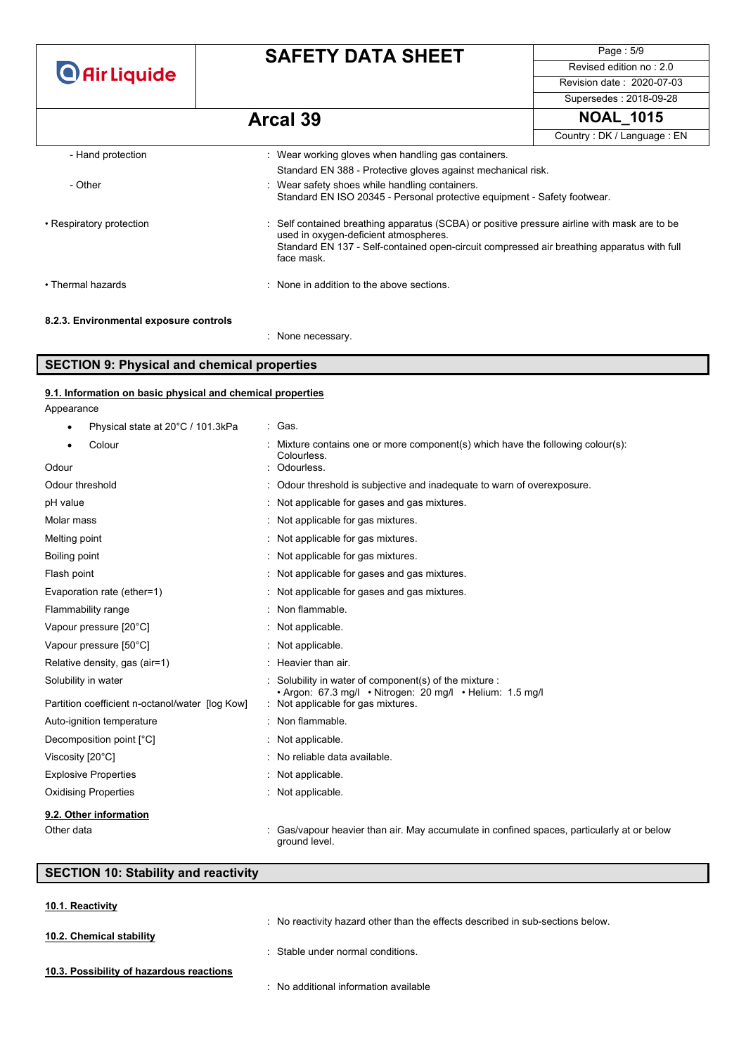**O** Air Liquide

# **SAFETY DATA SHEET**

Page : 5/9 Revised edition no : 2.0 Revision date : 2020-07-03

Supersedes : 2018-09-28

# **Arcal 39 NOAL\_1015**

|                                       |                                                                                                                                                                                                                                                   | Country: DK / Language: EN |
|---------------------------------------|---------------------------------------------------------------------------------------------------------------------------------------------------------------------------------------------------------------------------------------------------|----------------------------|
| - Hand protection                     | : Wear working gloves when handling gas containers.                                                                                                                                                                                               |                            |
|                                       | Standard EN 388 - Protective gloves against mechanical risk.                                                                                                                                                                                      |                            |
| - Other                               | : Wear safety shoes while handling containers.<br>Standard EN ISO 20345 - Personal protective equipment - Safety footwear.                                                                                                                        |                            |
| • Respiratory protection              | : Self contained breathing apparatus (SCBA) or positive pressure airline with mask are to be<br>used in oxygen-deficient atmospheres.<br>Standard EN 137 - Self-contained open-circuit compressed air breathing apparatus with full<br>face mask. |                            |
| • Thermal hazards                     | : None in addition to the above sections.                                                                                                                                                                                                         |                            |
| 8.2.3 Environmental exposure controls |                                                                                                                                                                                                                                                   |                            |

#### **8.2.3. Environmental exposure controls**

: None necessary.

### **SECTION 9: Physical and chemical properties**

#### Appearance **9.1. Information on basic physical and chemical properties**

| Physical state at 20°C / 101.3kPa<br>٠          | : Gas.                                                                                                            |  |
|-------------------------------------------------|-------------------------------------------------------------------------------------------------------------------|--|
| Colour                                          | Mixture contains one or more component(s) which have the following colour(s):<br>Colourless.                      |  |
| Odour                                           | Odourless.                                                                                                        |  |
| Odour threshold                                 | : Odour threshold is subjective and inadequate to warn of overexposure.                                           |  |
| pH value                                        | : Not applicable for gases and gas mixtures.                                                                      |  |
| Molar mass                                      | : Not applicable for gas mixtures.                                                                                |  |
| Melting point                                   | Not applicable for gas mixtures.                                                                                  |  |
| Boiling point                                   | : Not applicable for gas mixtures.                                                                                |  |
| Flash point                                     | : Not applicable for gases and gas mixtures.                                                                      |  |
| Evaporation rate (ether=1)                      | : Not applicable for gases and gas mixtures.                                                                      |  |
| Flammability range                              | : Non flammable.                                                                                                  |  |
| Vapour pressure [20°C]                          | Not applicable.                                                                                                   |  |
| Vapour pressure [50°C]                          | : Not applicable.                                                                                                 |  |
| Relative density, gas (air=1)                   | : Heavier than air.                                                                                               |  |
| Solubility in water                             | Solubility in water of component(s) of the mixture :<br>· Argon: 67.3 mg/l · Nitrogen: 20 mg/l · Helium: 1.5 mg/l |  |
| Partition coefficient n-octanol/water [log Kow] | : Not applicable for gas mixtures.                                                                                |  |
| Auto-ignition temperature                       | : Non flammable.                                                                                                  |  |
| Decomposition point [°C]                        | : Not applicable.                                                                                                 |  |
| Viscosity [20°C]                                | : No reliable data available.                                                                                     |  |
| <b>Explosive Properties</b>                     | : Not applicable.                                                                                                 |  |
| <b>Oxidising Properties</b>                     | : Not applicable.                                                                                                 |  |
| 9.2. Other information                          |                                                                                                                   |  |
| Other data                                      | Gas/vapour heavier than air. May accumulate in confined spaces, particularly at or below<br>ground level.         |  |

## **SECTION 10: Stability and reactivity**

| 10.1. Reactivity                         |                                                                                |
|------------------------------------------|--------------------------------------------------------------------------------|
|                                          | : No reactivity hazard other than the effects described in sub-sections below. |
| 10.2. Chemical stability                 |                                                                                |
|                                          | : Stable under normal conditions.                                              |
| 10.3. Possibility of hazardous reactions |                                                                                |
|                                          | No additional information available                                            |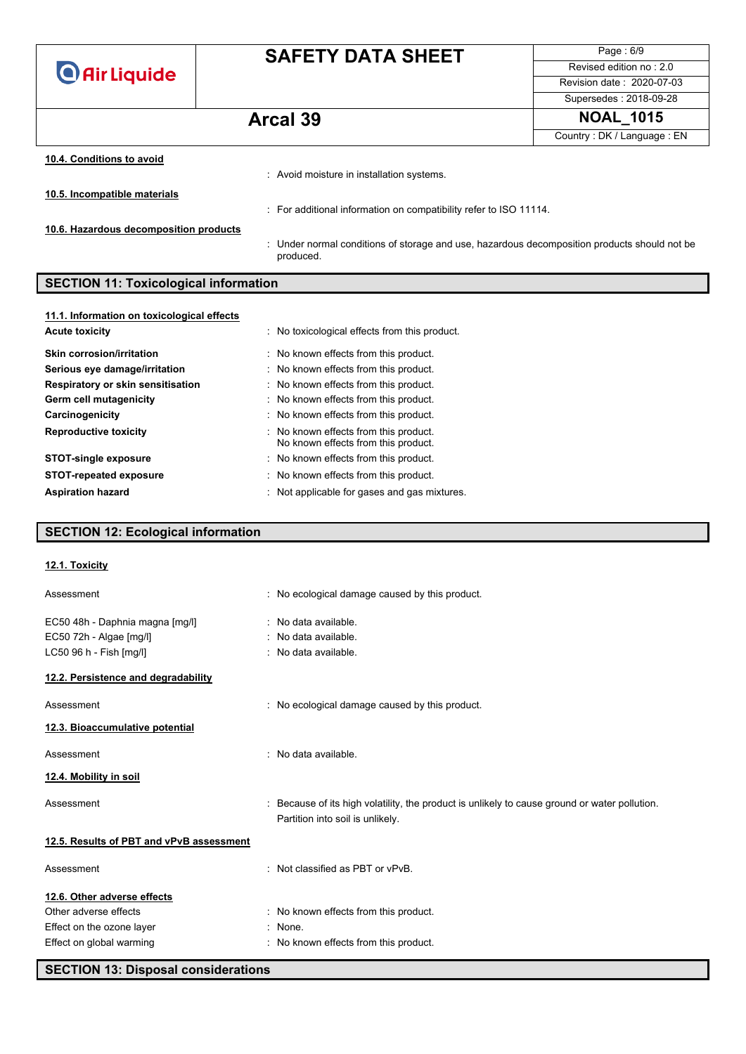**O** Air Liquide

# **SAFETY DATA SHEET**

Page : 6/9 Revised edition no : 2.0 Revision date : 2020-07-03 Supersedes : 2018-09-28

# **Arcal 39 NOAL\_1015**

Country : DK / Language : EN

| 10.4. Conditions to avoid              |                                                                                                         |
|----------------------------------------|---------------------------------------------------------------------------------------------------------|
|                                        | : Avoid moisture in installation systems.                                                               |
| 10.5. Incompatible materials           |                                                                                                         |
|                                        | : For additional information on compatibility refer to ISO 11114.                                       |
| 10.6. Hazardous decomposition products |                                                                                                         |
|                                        | Under normal conditions of storage and use, hazardous decomposition products should not be<br>produced. |

# **SECTION 11: Toxicological information**

| 11.1. Information on toxicological effects |                                                                              |
|--------------------------------------------|------------------------------------------------------------------------------|
| <b>Acute toxicity</b>                      | : No toxicological effects from this product.                                |
| Skin corrosion/irritation                  | : No known effects from this product.                                        |
| Serious eye damage/irritation              | : No known effects from this product.                                        |
| Respiratory or skin sensitisation          | : No known effects from this product.                                        |
| Germ cell mutagenicity                     | : No known effects from this product.                                        |
| Carcinogenicity                            | : No known effects from this product.                                        |
| <b>Reproductive toxicity</b>               | : No known effects from this product.<br>No known effects from this product. |
| <b>STOT-single exposure</b>                | : No known effects from this product.                                        |
| <b>STOT-repeated exposure</b>              | : No known effects from this product.                                        |
| <b>Aspiration hazard</b>                   | : Not applicable for gases and gas mixtures.                                 |

## **SECTION 12: Ecological information**

| 12.1. Toxicity                           |                                                                                                                                   |
|------------------------------------------|-----------------------------------------------------------------------------------------------------------------------------------|
| Assessment                               | : No ecological damage caused by this product.                                                                                    |
| EC50 48h - Daphnia magna [mg/l]          | : No data available.                                                                                                              |
| EC50 72h - Algae [mg/l]                  | $:$ No data available.                                                                                                            |
| LC50 96 h - Fish [mg/l]                  | : No data available.                                                                                                              |
| 12.2. Persistence and degradability      |                                                                                                                                   |
| Assessment                               | : No ecological damage caused by this product.                                                                                    |
| 12.3. Bioaccumulative potential          |                                                                                                                                   |
| Assessment                               | : No data available.                                                                                                              |
| 12.4. Mobility in soil                   |                                                                                                                                   |
| Assessment                               | : Because of its high volatility, the product is unlikely to cause ground or water pollution.<br>Partition into soil is unlikely. |
| 12.5. Results of PBT and vPvB assessment |                                                                                                                                   |
| Assessment                               | : Not classified as PBT or vPvB.                                                                                                  |
| 12.6. Other adverse effects              |                                                                                                                                   |
| Other adverse effects                    | : No known effects from this product.                                                                                             |
| Effect on the ozone layer                | : None.                                                                                                                           |
| Effect on global warming                 | : No known effects from this product.                                                                                             |
|                                          |                                                                                                                                   |

**SECTION 13: Disposal considerations**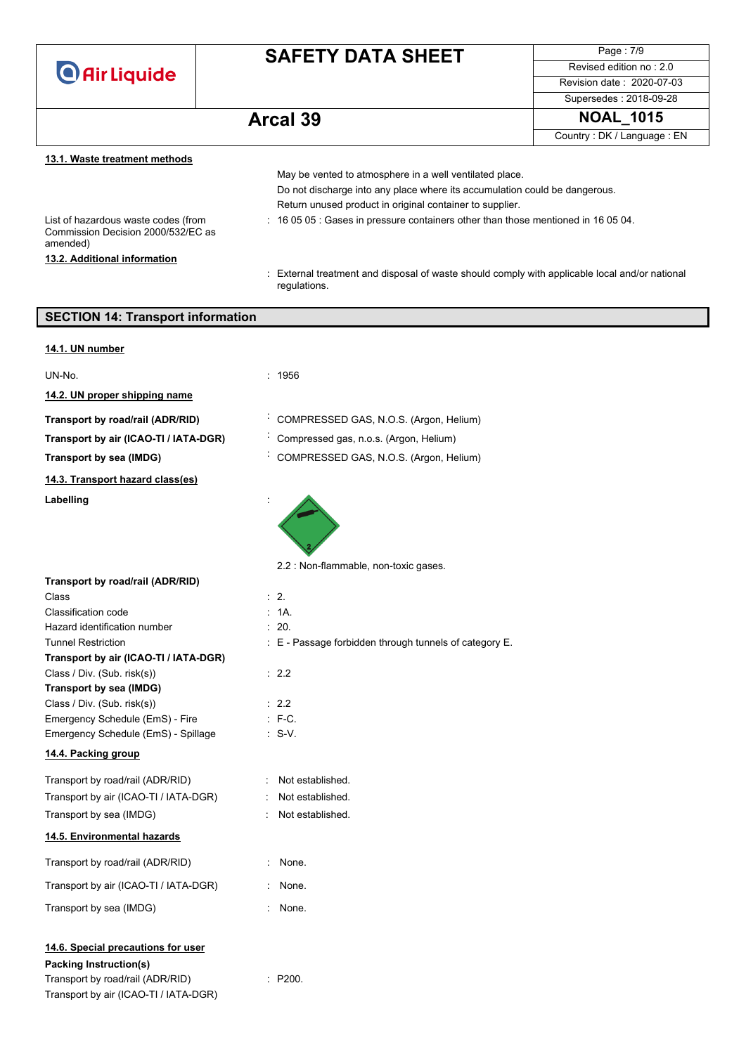

# **SAFETY DATA SHEET**

Page : 7/9 Revised edition no : 2.0 Revision date : 2020-07-03 Supersedes : 2018-09-28

# **Arcal 39**

| NOAL | . 1015 |  |
|------|--------|--|
|      |        |  |

Country : DK / Language : EN

### **13.1. Waste treatment methods**

|                                                                                       | May be vented to atmosphere in a well ventilated place.                                                        |
|---------------------------------------------------------------------------------------|----------------------------------------------------------------------------------------------------------------|
|                                                                                       | Do not discharge into any place where its accumulation could be dangerous.                                     |
|                                                                                       | Return unused product in original container to supplier.                                                       |
| List of hazardous waste codes (from<br>Commission Decision 2000/532/EC as<br>amended) | : 16 05 05 : Gases in pressure containers other than those mentioned in 16 05 04.                              |
| 13.2. Additional information                                                          |                                                                                                                |
|                                                                                       | : External treatment and disposal of waste should comply with applicable local and/or national<br>regulations. |

| <b>SECTION 14: Transport information</b>                                                                                                         |                                                        |  |
|--------------------------------------------------------------------------------------------------------------------------------------------------|--------------------------------------------------------|--|
| 14.1. UN number                                                                                                                                  |                                                        |  |
| UN-No.                                                                                                                                           | : 1956                                                 |  |
| 14.2. UN proper shipping name                                                                                                                    |                                                        |  |
|                                                                                                                                                  |                                                        |  |
| Transport by road/rail (ADR/RID)                                                                                                                 | COMPRESSED GAS, N.O.S. (Argon, Helium)                 |  |
| Transport by air (ICAO-TI / IATA-DGR)                                                                                                            | Compressed gas, n.o.s. (Argon, Helium)                 |  |
| Transport by sea (IMDG)                                                                                                                          | COMPRESSED GAS, N.O.S. (Argon, Helium)                 |  |
| 14.3. Transport hazard class(es)                                                                                                                 |                                                        |  |
| Labelling                                                                                                                                        |                                                        |  |
|                                                                                                                                                  | 2.2 : Non-flammable, non-toxic gases.                  |  |
| Transport by road/rail (ADR/RID)<br>Class                                                                                                        | $\therefore$ 2.                                        |  |
| Classification code                                                                                                                              | : 1A.                                                  |  |
| Hazard identification number                                                                                                                     | : 20.                                                  |  |
| <b>Tunnel Restriction</b>                                                                                                                        | : E - Passage forbidden through tunnels of category E. |  |
| Transport by air (ICAO-TI / IATA-DGR)                                                                                                            |                                                        |  |
| Class / Div. (Sub. risk(s))                                                                                                                      | : 2.2                                                  |  |
| Transport by sea (IMDG)<br>Class / Div. (Sub. risk(s))                                                                                           | : 2.2                                                  |  |
| Emergency Schedule (EmS) - Fire                                                                                                                  | $\therefore$ F-C.                                      |  |
| Emergency Schedule (EmS) - Spillage                                                                                                              | $: S-V.$                                               |  |
| 14.4. Packing group                                                                                                                              |                                                        |  |
|                                                                                                                                                  |                                                        |  |
| Transport by road/rail (ADR/RID)                                                                                                                 | Not established.                                       |  |
| Transport by air (ICAO-TI / IATA-DGR)                                                                                                            | Not established.                                       |  |
| Transport by sea (IMDG)                                                                                                                          | $\bullet$<br>Not established.                          |  |
| 14.5. Environmental hazards                                                                                                                      |                                                        |  |
| Transport by road/rail (ADR/RID)                                                                                                                 | None.                                                  |  |
| Transport by air (ICAO-TI / IATA-DGR)                                                                                                            | : None.                                                |  |
| Transport by sea (IMDG)                                                                                                                          | : None.                                                |  |
| 14.6. Special precautions for user<br><b>Packing Instruction(s)</b><br>Transport by road/rail (ADR/RID)<br>Transport by air (ICAO-TI / IATA-DGR) | : P200.                                                |  |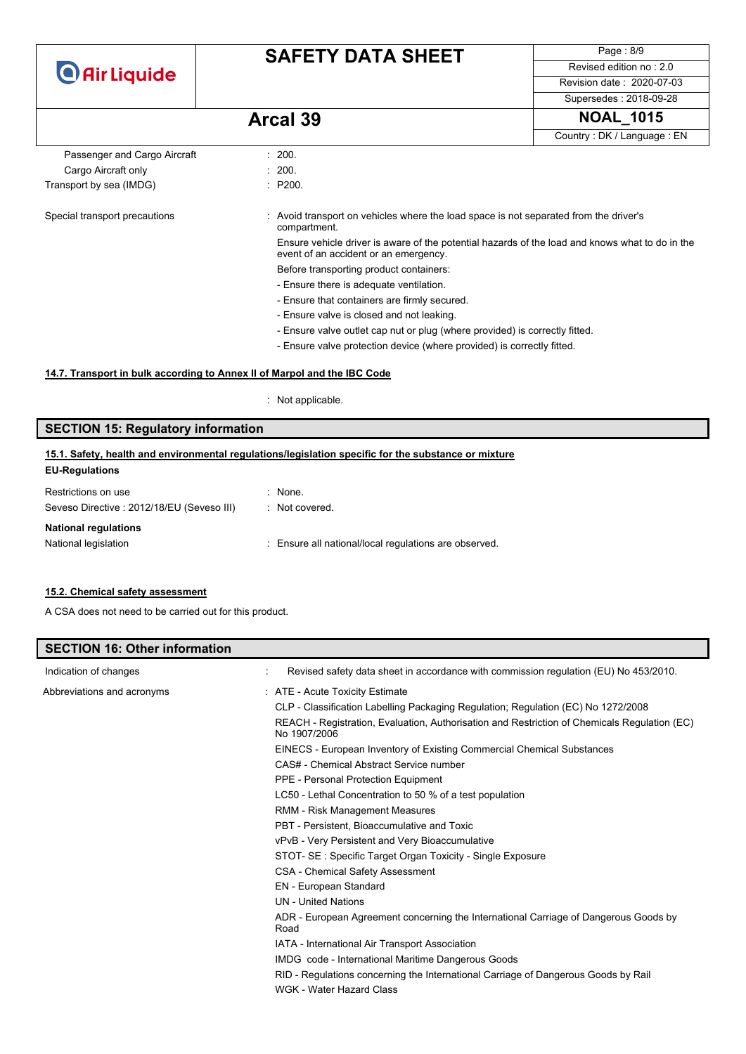# **SAFETY DATA SHEET**

Page : 8/9 Revised edition no : 2.0 Revision date : 2020-07-03 Supersedes : 2018-09-28

**Arcal 39 NOAL\_1015**

Country : DK / Language : EN

| Passenger and Cargo Aircraft  | : 200.                                                                                                                                   |
|-------------------------------|------------------------------------------------------------------------------------------------------------------------------------------|
| Cargo Aircraft only           | : 200.                                                                                                                                   |
| Transport by sea (IMDG)       | : P200.                                                                                                                                  |
| Special transport precautions | Avoid transport on vehicles where the load space is not separated from the driver's<br>compartment.                                      |
|                               | Ensure vehicle driver is aware of the potential hazards of the load and knows what to do in the<br>event of an accident or an emergency. |
|                               | Before transporting product containers:                                                                                                  |
|                               | - Ensure there is adequate ventilation.                                                                                                  |
|                               | - Ensure that containers are firmly secured.                                                                                             |
|                               | - Ensure valve is closed and not leaking.                                                                                                |
|                               | - Ensure valve outlet cap nut or plug (where provided) is correctly fitted.                                                              |
|                               | - Ensure valve protection device (where provided) is correctly fitted.                                                                   |

#### **14.7. Transport in bulk according to Annex II of Marpol and the IBC Code**

: Not applicable.

# **SECTION 15: Regulatory information**

### **EU-Regulations 15.1. Safety, health and environmental regulations/legislation specific for the substance or mixture**

| Restrictions on use                                                      | $:$ None.                                             |
|--------------------------------------------------------------------------|-------------------------------------------------------|
| Seveso Directive: 2012/18/EU (Seveso III)<br><b>National regulations</b> | : Not covered.                                        |
| National legislation                                                     | : Ensure all national/local regulations are observed. |

#### **15.2. Chemical safety assessment**

A CSA does not need to be carried out for this product.

| <b>SECTION 16: Other information</b> |                                                                                                              |
|--------------------------------------|--------------------------------------------------------------------------------------------------------------|
| Indication of changes                | Revised safety data sheet in accordance with commission regulation (EU) No 453/2010.                         |
| Abbreviations and acronyms           | : ATE - Acute Toxicity Estimate                                                                              |
|                                      | CLP - Classification Labelling Packaging Regulation; Regulation (EC) No 1272/2008                            |
|                                      | REACH - Registration, Evaluation, Authorisation and Restriction of Chemicals Regulation (EC)<br>No 1907/2006 |
|                                      | EINECS - European Inventory of Existing Commercial Chemical Substances                                       |
|                                      | CAS# - Chemical Abstract Service number                                                                      |
|                                      | PPE - Personal Protection Equipment                                                                          |
|                                      | LC50 - Lethal Concentration to 50 % of a test population                                                     |
|                                      | RMM - Risk Management Measures                                                                               |
|                                      | PBT - Persistent. Bioaccumulative and Toxic                                                                  |
|                                      | vPvB - Very Persistent and Very Bioaccumulative                                                              |
|                                      | STOT- SE: Specific Target Organ Toxicity - Single Exposure                                                   |
|                                      | <b>CSA - Chemical Safety Assessment</b>                                                                      |
|                                      | EN - European Standard                                                                                       |
|                                      | <b>UN</b> - United Nations                                                                                   |
|                                      | ADR - European Agreement concerning the International Carriage of Dangerous Goods by<br>Road                 |
|                                      | IATA - International Air Transport Association                                                               |
|                                      | IMDG code - International Maritime Dangerous Goods                                                           |
|                                      | RID - Regulations concerning the International Carriage of Dangerous Goods by Rail                           |
|                                      | WGK - Water Hazard Class                                                                                     |
|                                      |                                                                                                              |